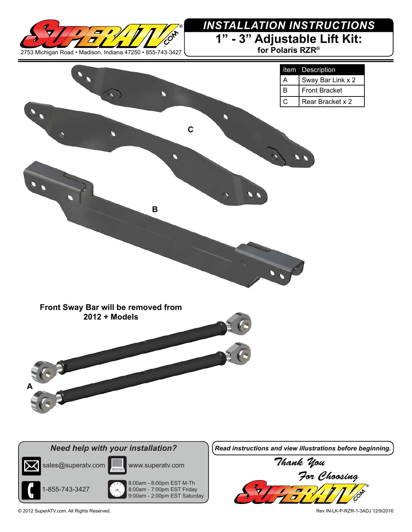

## **1" - 3" Adjustable Lift Kit:** *INSTALLATION INSTRUCTIONS*

**for Polaris RZR®**







8:00am - 8:00pm EST M-Th

8:00am - 7:00pm EST Friday 9:00am - 2:00pm EST Saturday

*Need help with your installation? Read instructions and view illustrations before beginning.*



© 2012 SuperATV.com. All Rights Reserved. Rev IN-LK-P-RZR-1-3ADJ 12/9/2016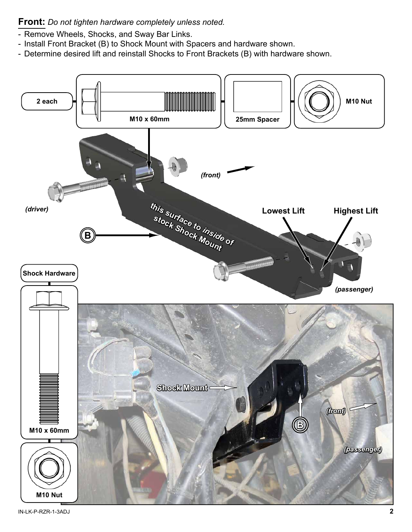**Front:** *Do not tighten hardware completely unless noted.*

- Remove Wheels, Shocks, and Sway Bar Links.
- Install Front Bracket (B) to Shock Mount with Spacers and hardware shown.
- Determine desired lift and reinstall Shocks to Front Brackets (B) with hardware shown.



IN-LK-P-RZR-1-3ADJ **2**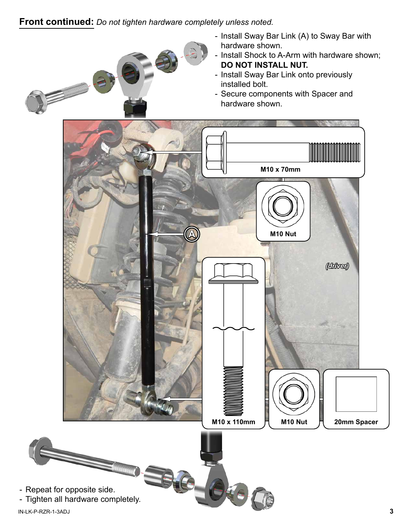## **Front continued:** *Do not tighten hardware completely unless noted.*

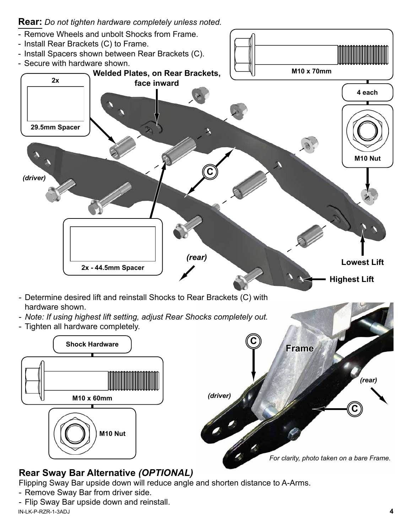

Flipping Sway Bar upside down will reduce angle and shorten distance to A-Arms.

- Remove Sway Bar from driver side.
- Flip Sway Bar upside down and reinstall.

IN-LK-P-RZR-1-3ADJ **4**